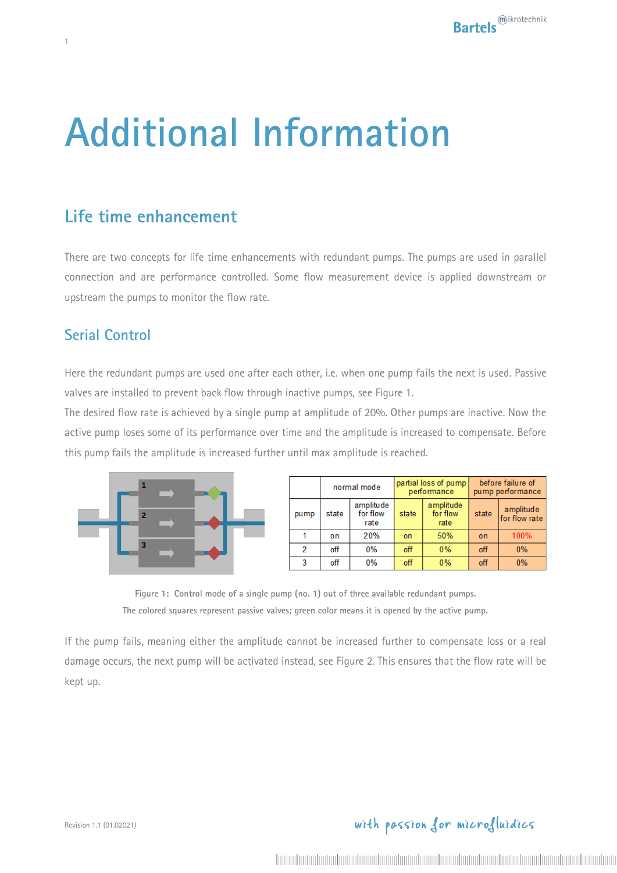# **Additional Information**

## **Life time enhancement**

There are two concepts for life time enhancements with redundant pumps. The pumps are used in parallel connection and are performance controlled. Some flow measurement device is applied downstream or upstream the pumps to monitor the flow rate.

#### **Serial Control**

1

Here the redundant pumps are used one after each other, i.e. when one pump fails the next is used. Passive valves are installed to prevent back flow through inactive pumps, see [Figure 1.](#page-0-0)

The desired flow rate is achieved by a single pump at amplitude of 20%. Other pumps are inactive. Now the active pump loses some of its performance over time and the amplitude is increased to compensate. Before this pump fails the amplitude is increased further until max amplitude is reached.



|      | normal mode |                               | partial loss of pump<br>performance |                               | before failure of<br>pump performance |                            |
|------|-------------|-------------------------------|-------------------------------------|-------------------------------|---------------------------------------|----------------------------|
| pump | state       | amplitude<br>for flow<br>rate | state                               | amplitude<br>for flow<br>rate | state                                 | amplitude<br>for flow rate |
|      | on          | 20%                           | on                                  | 50%                           | o <sub>n</sub>                        | 100%                       |
| 2    | off         | 0%                            | off                                 | 0%                            | off                                   | 0%                         |
| 3    | off         | 0%                            | off                                 | 0%                            | off                                   | 0%                         |

**Figure 1: Control mode of a single pump (no. 1) out of three available redundant pumps. The colored squares represent passive valves; green color means it is opened by the active pump.**

<span id="page-0-0"></span>If the pump fails, meaning either the amplitude cannot be increased further to compensate loss or a real damage occurs, the next pump will be activated instead, see [Figure 2.](#page-1-0) This ensures that the flow rate will be kept up.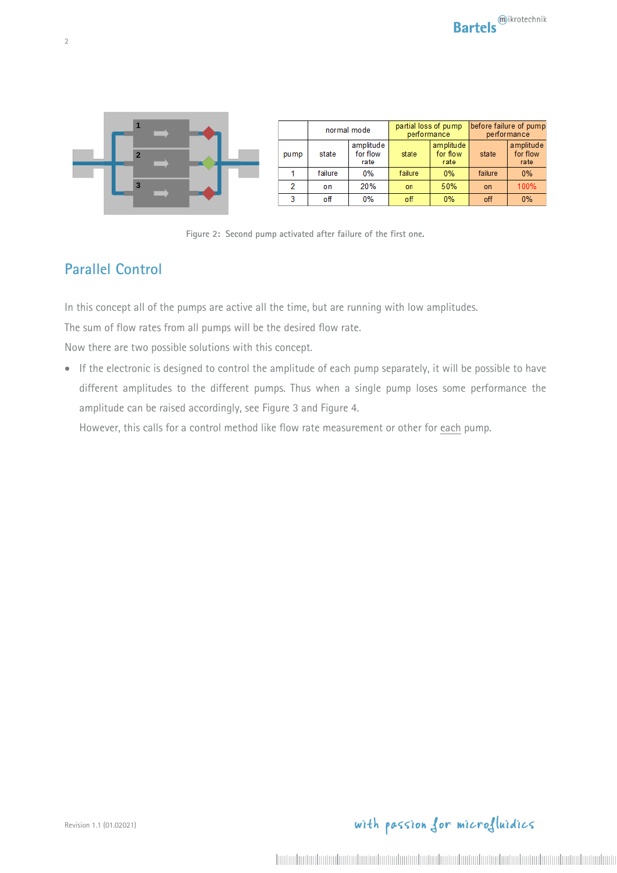

|      | normal mode |                               | partial loss of pump<br>performance |                               | before failure of pump<br>performance |                               |
|------|-------------|-------------------------------|-------------------------------------|-------------------------------|---------------------------------------|-------------------------------|
| pump | state       | amplitude<br>for flow<br>rate | state                               | amplitude<br>for flow<br>rate | state                                 | amplitude<br>for flow<br>rate |
|      | failure     | $0\%$                         | failure                             | $0\%$                         | failure                               | $0\%$                         |
|      | on          | 20%                           | on                                  | 50%                           | on                                    | 100%                          |
| o    | оff         | 0%                            | off                                 | $0\%$                         | off                                   | 0%                            |



#### <span id="page-1-0"></span>**Parallel Control**

In this concept all of the pumps are active all the time, but are running with low amplitudes.

The sum of flow rates from all pumps will be the desired flow rate.

Now there are two possible solutions with this concept.

• If the electronic is designed to control the amplitude of each pump separately, it will be possible to have different amplitudes to the different pumps. Thus when a single pump loses some performance the amplitude can be raised accordingly, see [Figure 3](#page-2-0) and [Figure 4.](#page-2-1)

However, this calls for a control method like flow rate measurement or other for each pump.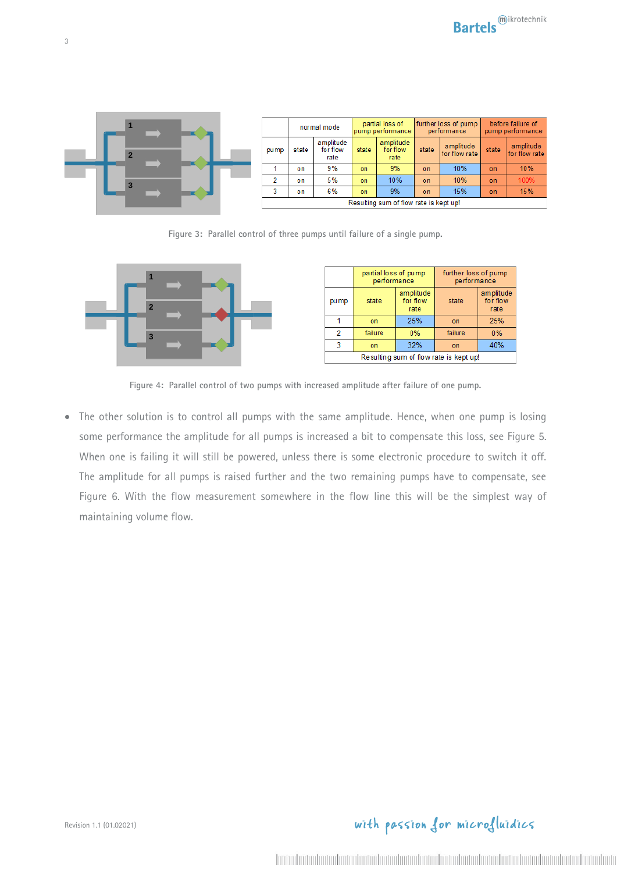

**Figure 3: Parallel control of three pumps until failure of a single pump.**

<span id="page-2-0"></span>

|                                        | partial loss of pump<br>performance |                               | further loss of pump<br>performance |                               |  |
|----------------------------------------|-------------------------------------|-------------------------------|-------------------------------------|-------------------------------|--|
| pump                                   | state                               | amplitude<br>for flow<br>rate | state                               | amplitude<br>for flow<br>rate |  |
|                                        | on                                  | 25%                           | on                                  | 25%                           |  |
| 2                                      | failure                             | $0\%$                         | failure                             | 0%                            |  |
| 3                                      | on                                  | 32%                           | on                                  | 40%                           |  |
| Resulting sum of flow rate is kept up! |                                     |                               |                                     |                               |  |

**Figure 4: Parallel control of two pumps with increased amplitude after failure of one pump.**

<span id="page-2-1"></span>• The other solution is to control all pumps with the same amplitude. Hence, when one pump is losing some performance the amplitude for all pumps is increased a bit to compensate this loss, see [Figure 5.](#page-3-0) When one is failing it will still be powered, unless there is some electronic procedure to switch it off. The amplitude for all pumps is raised further and the two remaining pumps have to compensate, see [Figure 6.](#page-3-1) With the flow measurement somewhere in the flow line this will be the simplest way of maintaining volume flow.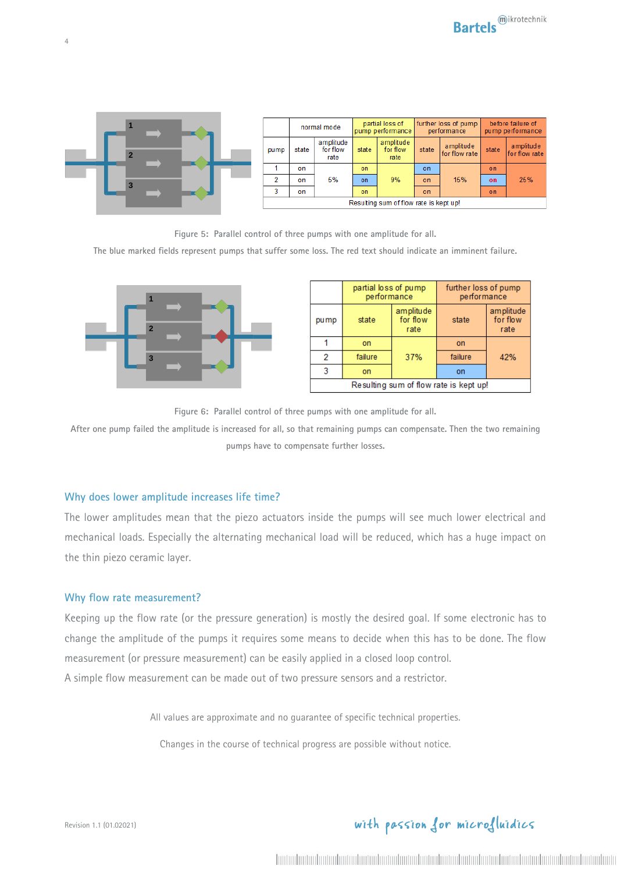

**Figure 5: Parallel control of three pumps with one amplitude for all.**

<span id="page-3-0"></span>**The blue marked fields represent pumps that suffer some loss. The red text should indicate an imminent failure.**



|                                        | partial loss of pump<br>performance |                               | further loss of pump<br>performance |                               |  |
|----------------------------------------|-------------------------------------|-------------------------------|-------------------------------------|-------------------------------|--|
| pump                                   | state                               | amplitude<br>for flow<br>rate | state                               | amplitude<br>for flow<br>rate |  |
|                                        | on                                  |                               | on                                  |                               |  |
| 2                                      | failure                             | 37%                           | failure                             | 42%                           |  |
| 3                                      | on                                  |                               | on                                  |                               |  |
| Resulting sum of flow rate is kept up! |                                     |                               |                                     |                               |  |

**Figure 6: Parallel control of three pumps with one amplitude for all.**

<span id="page-3-1"></span>**After one pump failed the amplitude is increased for all, so that remaining pumps can compensate. Then the two remaining pumps have to compensate further losses.**

#### **Why does lower amplitude increases life time?**

The lower amplitudes mean that the piezo actuators inside the pumps will see much lower electrical and mechanical loads. Especially the alternating mechanical load will be reduced, which has a huge impact on the thin piezo ceramic layer.

#### **Why flow rate measurement?**

Keeping up the flow rate (or the pressure generation) is mostly the desired goal. If some electronic has to change the amplitude of the pumps it requires some means to decide when this has to be done. The flow measurement (or pressure measurement) can be easily applied in a closed loop control. A simple flow measurement can be made out of two pressure sensors and a restrictor.

All values are approximate and no guarantee of specific technical properties.

Changes in the course of technical progress are possible without notice.